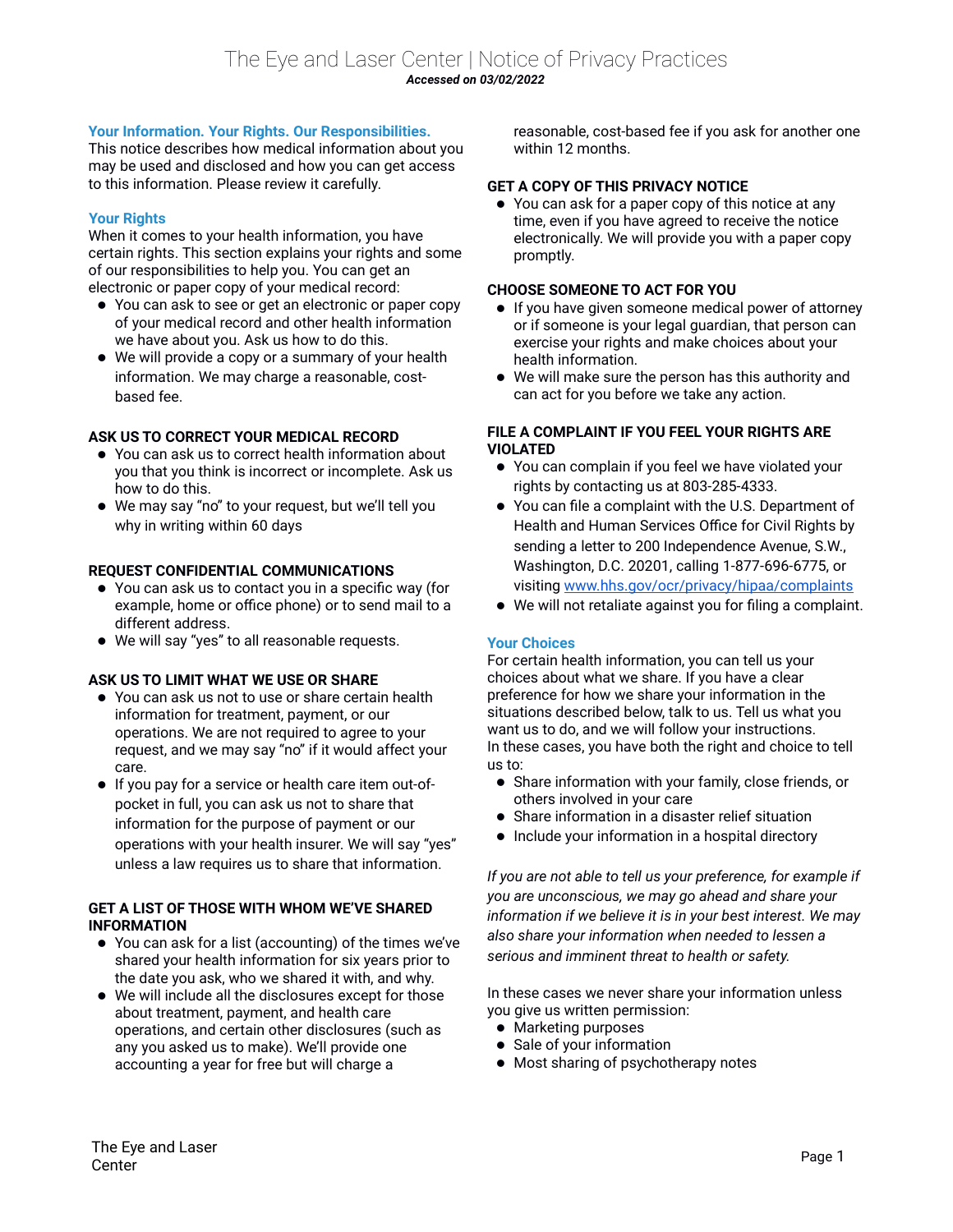# **Your Information. Your Rights. Our Responsibilities.**

This notice describes how medical information about you may be used and disclosed and how you can get access to this information. Please review it carefully.

# **Your Rights**

When it comes to your health information, you have certain rights. This section explains your rights and some of our responsibilities to help you. You can get an electronic or paper copy of your medical record:

- You can ask to see or get an electronic or paper copy of your medical record and other health information we have about you. Ask us how to do this.
- We will provide a copy or a summary of your health information. We may charge a reasonable, costbased fee.

# **ASK US TO CORRECT YOUR MEDICAL RECORD**

- You can ask us to correct health information about you that you think is incorrect or incomplete. Ask us how to do this.
- We may say "no" to your request, but we'll tell you why in writing within 60 days

### **REQUEST CONFIDENTIAL COMMUNICATIONS**

- You can ask us to contact you in a specific way (for example, home or office phone) or to send mail to a different address.
- We will say "yes" to all reasonable requests.

### **ASK US TO LIMIT WHAT WE USE OR SHARE**

- You can ask us not to use or share certain health information for treatment, payment, or our operations. We are not required to agree to your request, and we may say "no" if it would affect your care.
- If you pay for a service or health care item out-ofpocket in full, you can ask us not to share that information for the purpose of payment or our operations with your health insurer. We will say "yes" unless a law requires us to share that information.

### **GET A LIST OF THOSE WITH WHOM WE'VE SHARED INFORMATION**

- You can ask for a list (accounting) of the times we've shared your health information for six years prior to the date you ask, who we shared it with, and why.
- We will include all the disclosures except for those about treatment, payment, and health care operations, and certain other disclosures (such as any you asked us to make). We'll provide one accounting a year for free but will charge a

reasonable, cost-based fee if you ask for another one within 12 months.

### **GET A COPY OF THIS PRIVACY NOTICE**

 You can ask for a paper copy of this notice at any time, even if you have agreed to receive the notice electronically. We will provide you with a paper copy promptly.

### **CHOOSE SOMEONE TO ACT FOR YOU**

- If you have given someone medical power of attorney or if someone is your legal guardian, that person can exercise your rights and make choices about your health information.
- We will make sure the person has this authority and can act for you before we take any action.

### **FILE A COMPLAINT IF YOU FEEL YOUR RIGHTS ARE VIOLATED**

- You can complain if you feel we have violated your rights by contacting us at 803-285-4333.
- You can file a complaint with the U.S. Department of Health and Human Services Office for Civil Rights by sending a letter to 200 Independence Avenue, S.W., Washington, D.C. 20201, calling 1-877-696-6775, or visiting [www.hhs.gov/ocr/privacy/hipaa/complaints](http://www.hhs.gov/ocr/privacy/hipaa/complaints)
- We will not retaliate against you for filing a complaint.

### **Your Choices**

For certain health information, you can tell us your choices about what we share. If you have a clear preference for how we share your information in the situations described below, talk to us. Tell us what you want us to do, and we will follow your instructions. In these cases, you have both the right and choice to tell us to:

- Share information with your family, close friends, or others involved in your care
- Share information in a disaster relief situation
- Include your information in a hospital directory

*If you are not able to tell us your preference, for example if you are unconscious, we may go ahead and share your information if we believe it is in your best interest. We may also share your information when needed to lessen a serious and imminent threat to health or safety.*

In these cases we never share your information unless you give us written permission:

- Marketing purposes
- Sale of your information
- Most sharing of psychotherapy notes